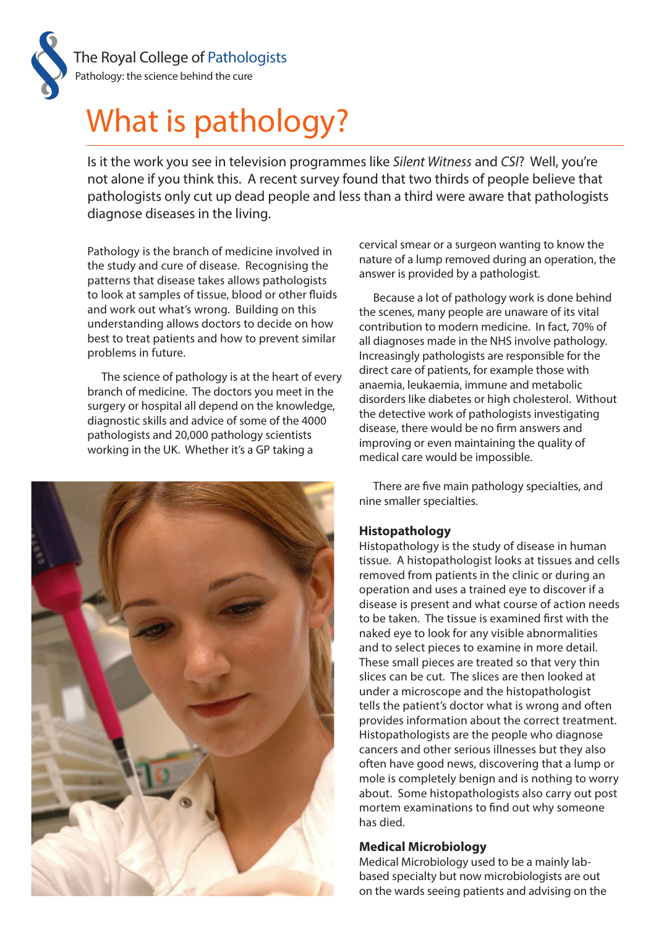

# What is pathology?

Is it the work you see in television programmes like *Silent Witness* and *CSI*? Well, you're not alone if you think this. A recent survey found that two thirds of people believe that pathologists only cut up dead people and less than a third were aware that pathologists diagnose diseases in the living.

Pathology is the branch of medicine involved in the study and cure of disease. Recognising the patterns that disease takes allows pathologists to look at samples of tissue, blood or other fluids and work out what's wrong. Building on this understanding allows doctors to decide on how best to treat patients and how to prevent similar problems in future.

The science of pathology is at the heart of every branch of medicine. The doctors you meet in the surgery or hospital all depend on the knowledge, diagnostic skills and advice of some of the 4000 pathologists and 20,000 pathology scientists working in the UK. Whether it's a GP taking a



cervical smear or a surgeon wanting to know the nature of a lump removed during an operation, the answer is provided by a pathologist.

Because a lot of pathology work is done behind the scenes, many people are unaware of its vital contribution to modern medicine. In fact, 70% of all diagnoses made in the NHS involve pathology. Increasingly pathologists are responsible for the direct care of patients, for example those with anaemia, leukaemia, immune and metabolic disorders like diabetes or high cholesterol. Without the detective work of pathologists investigating disease, there would be no firm answers and improving or even maintaining the quality of medical care would be impossible.

There are five main pathology specialties, and nine smaller specialties.

### **Histopathology**

Histopathology is the study of disease in human tissue. A histopathologist looks at tissues and cells removed from patients in the clinic or during an operation and uses a trained eye to discover if a disease is present and what course of action needs to be taken. The tissue is examined first with the naked eye to look for any visible abnormalities and to select pieces to examine in more detail. These small pieces are treated so that very thin slices can be cut. The slices are then looked at under a microscope and the histopathologist tells the patient's doctor what is wrong and often provides information about the correct treatment. Histopathologists are the people who diagnose cancers and other serious illnesses but they also often have good news, discovering that a lump or mole is completely benign and is nothing to worry about. Some histopathologists also carry out post mortem examinations to find out why someone has died.

### **Medical Microbiology**

Medical Microbiology used to be a mainly labbased specialty but now microbiologists are out on the wards seeing patients and advising on the